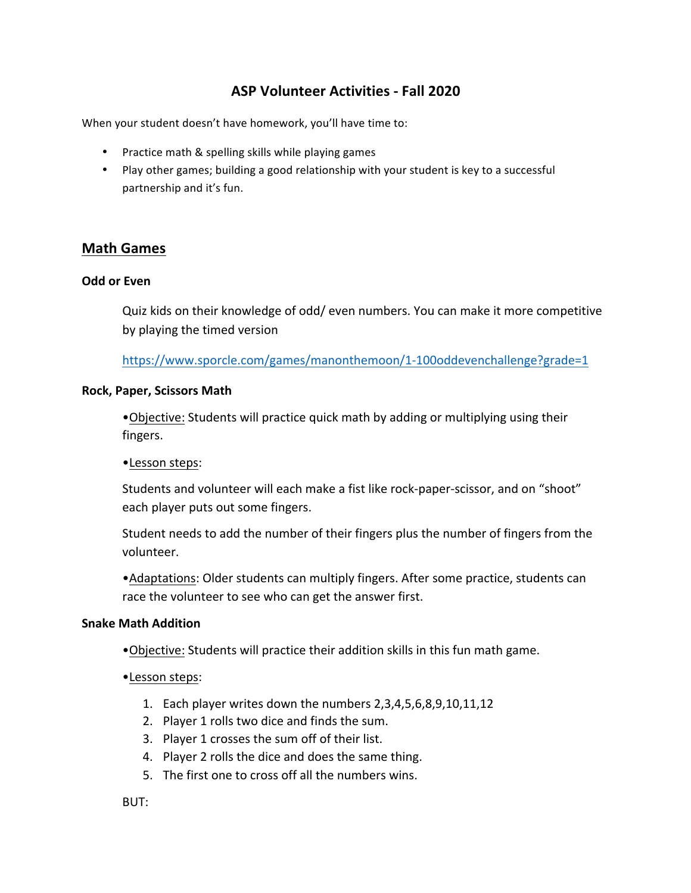# **ASP Volunteer Activities - Fall 2020**

When your student doesn't have homework, you'll have time to:

- Practice math & spelling skills while playing games
- Play other games; building a good relationship with your student is key to a successful partnership and it's fun.

## **Math Games**

### **Odd or Even**

Quiz kids on their knowledge of odd/ even numbers. You can make it more competitive by playing the timed version

https://www.sporcle.com/games/manonthemoon/1-100oddevenchallenge?grade=1

#### **Rock, Paper, Scissors Math**

•Objective: Students will practice quick math by adding or multiplying using their fingers.

•Lesson steps: 

Students and volunteer will each make a fist like rock-paper-scissor, and on "shoot" each player puts out some fingers.

Student needs to add the number of their fingers plus the number of fingers from the volunteer.

• Adaptations: Older students can multiply fingers. After some practice, students can race the volunteer to see who can get the answer first.

## **Snake Math Addition**

- Objective: Students will practice their addition skills in this fun math game.
- •Lesson steps:
	- 1. Each player writes down the numbers  $2,3,4,5,6,8,9,10,11,12$
	- 2. Player 1 rolls two dice and finds the sum.
	- 3. Player 1 crosses the sum off of their list.
	- 4. Player 2 rolls the dice and does the same thing.
	- 5. The first one to cross off all the numbers wins.

BUT: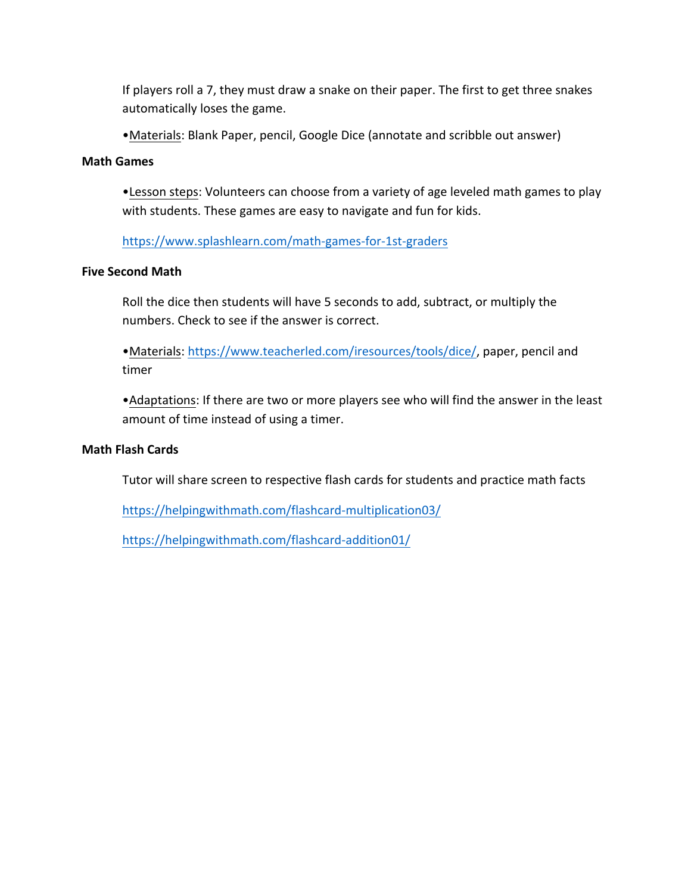If players roll a 7, they must draw a snake on their paper. The first to get three snakes automatically loses the game.

• Materials: Blank Paper, pencil, Google Dice (annotate and scribble out answer)

## **Math Games**

• Lesson steps: Volunteers can choose from a variety of age leveled math games to play with students. These games are easy to navigate and fun for kids.

https://www.splashlearn.com/math-games-for-1st-graders

## **Five Second Math**

Roll the dice then students will have 5 seconds to add, subtract, or multiply the numbers. Check to see if the answer is correct.

•Materials: https://www.teacherled.com/iresources/tools/dice/, paper, pencil and timer

• Adaptations: If there are two or more players see who will find the answer in the least amount of time instead of using a timer.

## **Math Flash Cards**

Tutor will share screen to respective flash cards for students and practice math facts

https://helpingwithmath.com/flashcard-multiplication03/

https://helpingwithmath.com/flashcard-addition01/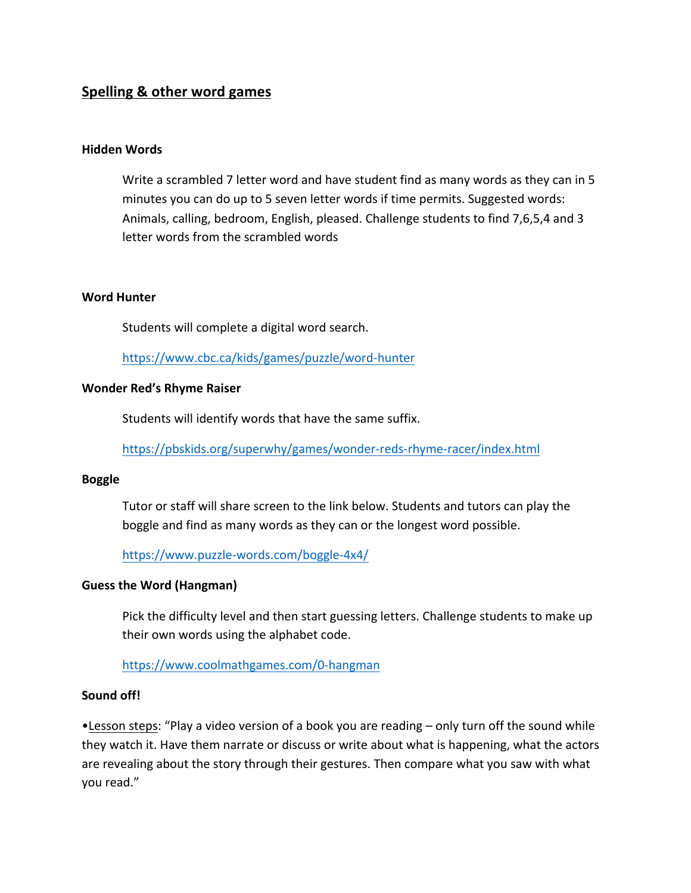# **Spelling & other word games**

#### **Hidden Words**

Write a scrambled 7 letter word and have student find as many words as they can in 5 minutes you can do up to 5 seven letter words if time permits. Suggested words: Animals, calling, bedroom, English, pleased. Challenge students to find 7,6,5,4 and 3 letter words from the scrambled words

#### **Word Hunter**

Students will complete a digital word search.

https://www.cbc.ca/kids/games/puzzle/word-hunter

### **Wonder Red's Rhyme Raiser**

Students will identify words that have the same suffix.

https://pbskids.org/superwhy/games/wonder-reds-rhyme-racer/index.html

#### **Boggle**

Tutor or staff will share screen to the link below. Students and tutors can play the boggle and find as many words as they can or the longest word possible.

https://www.puzzle-words.com/boggle-4x4/

#### **Guess the Word (Hangman)**

Pick the difficulty level and then start guessing letters. Challenge students to make up their own words using the alphabet code.

https://www.coolmathgames.com/0-hangman

### **Sound off!**

•Lesson steps: "Play a video version of a book you are reading – only turn off the sound while they watch it. Have them narrate or discuss or write about what is happening, what the actors are revealing about the story through their gestures. Then compare what you saw with what you read."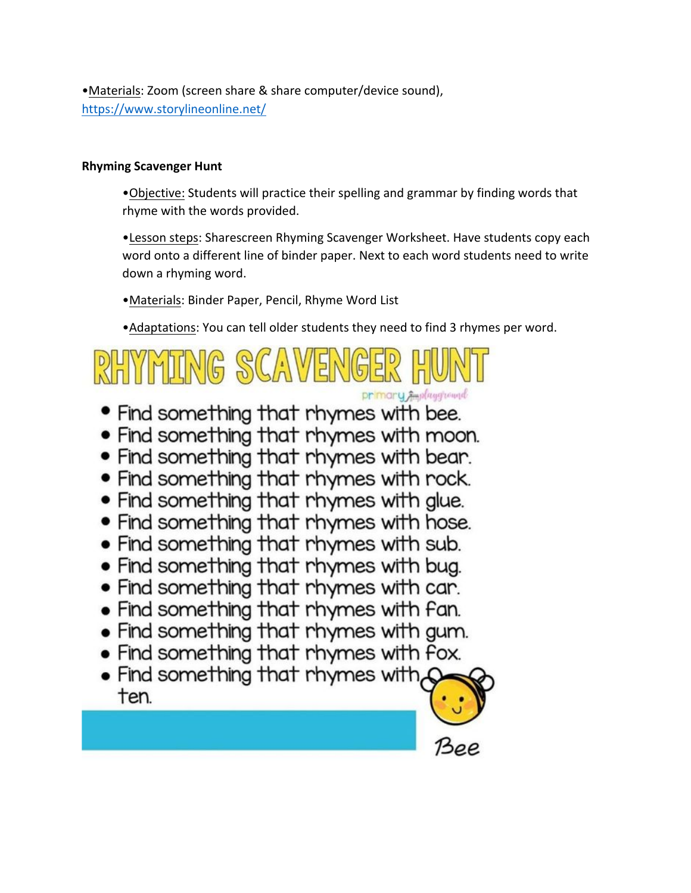•Materials: Zoom (screen share & share computer/device sound), https://www.storylineonline.net/

## **Rhyming Scavenger Hunt**

•Objective: Students will practice their spelling and grammar by finding words that rhyme with the words provided.

•Lesson steps: Sharescreen Rhyming Scavenger Worksheet. Have students copy each word onto a different line of binder paper. Next to each word students need to write down a rhyming word.

•Materials: Binder Paper, Pencil, Rhyme Word List

• Adaptations: You can tell older students they need to find 3 rhymes per word.

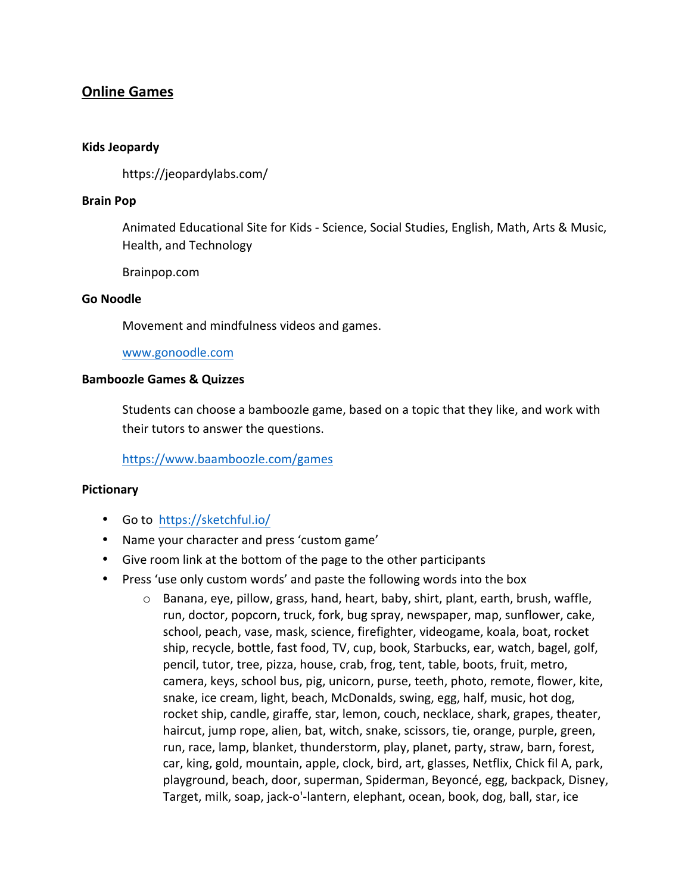# **Online Games**

### **Kids Jeopardy**

https://jeopardylabs.com/

### **Brain Pop**

Animated Educational Site for Kids - Science, Social Studies, English, Math, Arts & Music, Health, and Technology

Brainpop.com

#### **Go Noodle**

Movement and mindfulness videos and games.

www.gonoodle.com

### **Bamboozle Games & Quizzes**

Students can choose a bamboozle game, based on a topic that they like, and work with their tutors to answer the questions.

https://www.baamboozle.com/games

## **Pictionary**

- Go to https://sketchful.io/
- Name your character and press 'custom game'
- Give room link at the bottom of the page to the other participants
- Press 'use only custom words' and paste the following words into the box
	- $\circ$  Banana, eye, pillow, grass, hand, heart, baby, shirt, plant, earth, brush, waffle, run, doctor, popcorn, truck, fork, bug spray, newspaper, map, sunflower, cake, school, peach, vase, mask, science, firefighter, videogame, koala, boat, rocket ship, recycle, bottle, fast food, TV, cup, book, Starbucks, ear, watch, bagel, golf, pencil, tutor, tree, pizza, house, crab, frog, tent, table, boots, fruit, metro, camera, keys, school bus, pig, unicorn, purse, teeth, photo, remote, flower, kite, snake, ice cream, light, beach, McDonalds, swing, egg, half, music, hot dog, rocket ship, candle, giraffe, star, lemon, couch, necklace, shark, grapes, theater, haircut, jump rope, alien, bat, witch, snake, scissors, tie, orange, purple, green, run, race, lamp, blanket, thunderstorm, play, planet, party, straw, barn, forest, car, king, gold, mountain, apple, clock, bird, art, glasses, Netflix, Chick fil A, park, playground, beach, door, superman, Spiderman, Beyoncé, egg, backpack, Disney, Target, milk, soap, jack-o'-lantern, elephant, ocean, book, dog, ball, star, ice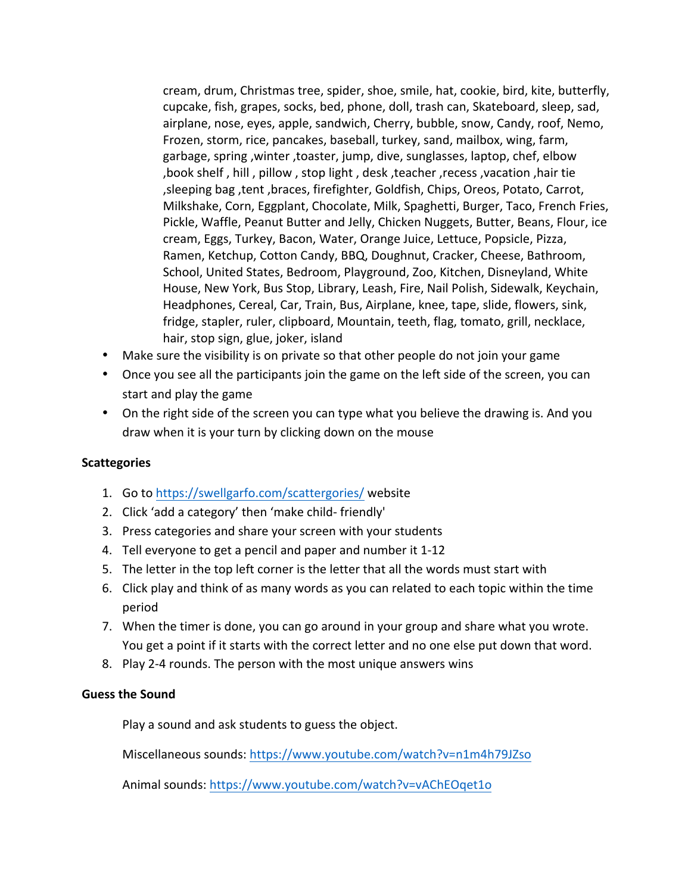cream, drum, Christmas tree, spider, shoe, smile, hat, cookie, bird, kite, butterfly, cupcake, fish, grapes, socks, bed, phone, doll, trash can, Skateboard, sleep, sad, airplane, nose, eyes, apple, sandwich, Cherry, bubble, snow, Candy, roof, Nemo, Frozen, storm, rice, pancakes, baseball, turkey, sand, mailbox, wing, farm, garbage, spring, winter, toaster, jump, dive, sunglasses, laptop, chef, elbow ,book shelf, hill, pillow, stop light, desk, teacher, recess, vacation, hair tie , sleeping bag, tent, braces, firefighter, Goldfish, Chips, Oreos, Potato, Carrot, Milkshake, Corn, Eggplant, Chocolate, Milk, Spaghetti, Burger, Taco, French Fries, Pickle, Waffle, Peanut Butter and Jelly, Chicken Nuggets, Butter, Beans, Flour, ice cream, Eggs, Turkey, Bacon, Water, Orange Juice, Lettuce, Popsicle, Pizza, Ramen, Ketchup, Cotton Candy, BBQ, Doughnut, Cracker, Cheese, Bathroom, School, United States, Bedroom, Playground, Zoo, Kitchen, Disneyland, White House, New York, Bus Stop, Library, Leash, Fire, Nail Polish, Sidewalk, Keychain, Headphones, Cereal, Car, Train, Bus, Airplane, knee, tape, slide, flowers, sink, fridge, stapler, ruler, clipboard, Mountain, teeth, flag, tomato, grill, necklace, hair, stop sign, glue, joker, island

- Make sure the visibility is on private so that other people do not join your game
- Once you see all the participants join the game on the left side of the screen, you can start and play the game
- On the right side of the screen you can type what you believe the drawing is. And you draw when it is your turn by clicking down on the mouse

## **Scattegories**

- 1. Go to https://swellgarfo.com/scattergories/ website
- 2. Click 'add a category' then 'make child- friendly'
- 3. Press categories and share your screen with your students
- 4. Tell everyone to get a pencil and paper and number it 1-12
- 5. The letter in the top left corner is the letter that all the words must start with
- 6. Click play and think of as many words as you can related to each topic within the time period
- 7. When the timer is done, you can go around in your group and share what you wrote. You get a point if it starts with the correct letter and no one else put down that word.
- 8. Play 2-4 rounds. The person with the most unique answers wins

## **Guess the Sound**

Play a sound and ask students to guess the object.

Miscellaneous sounds: https://www.youtube.com/watch?v=n1m4h79JZso

Animal sounds: https://www.youtube.com/watch?v=vAChEOget1o